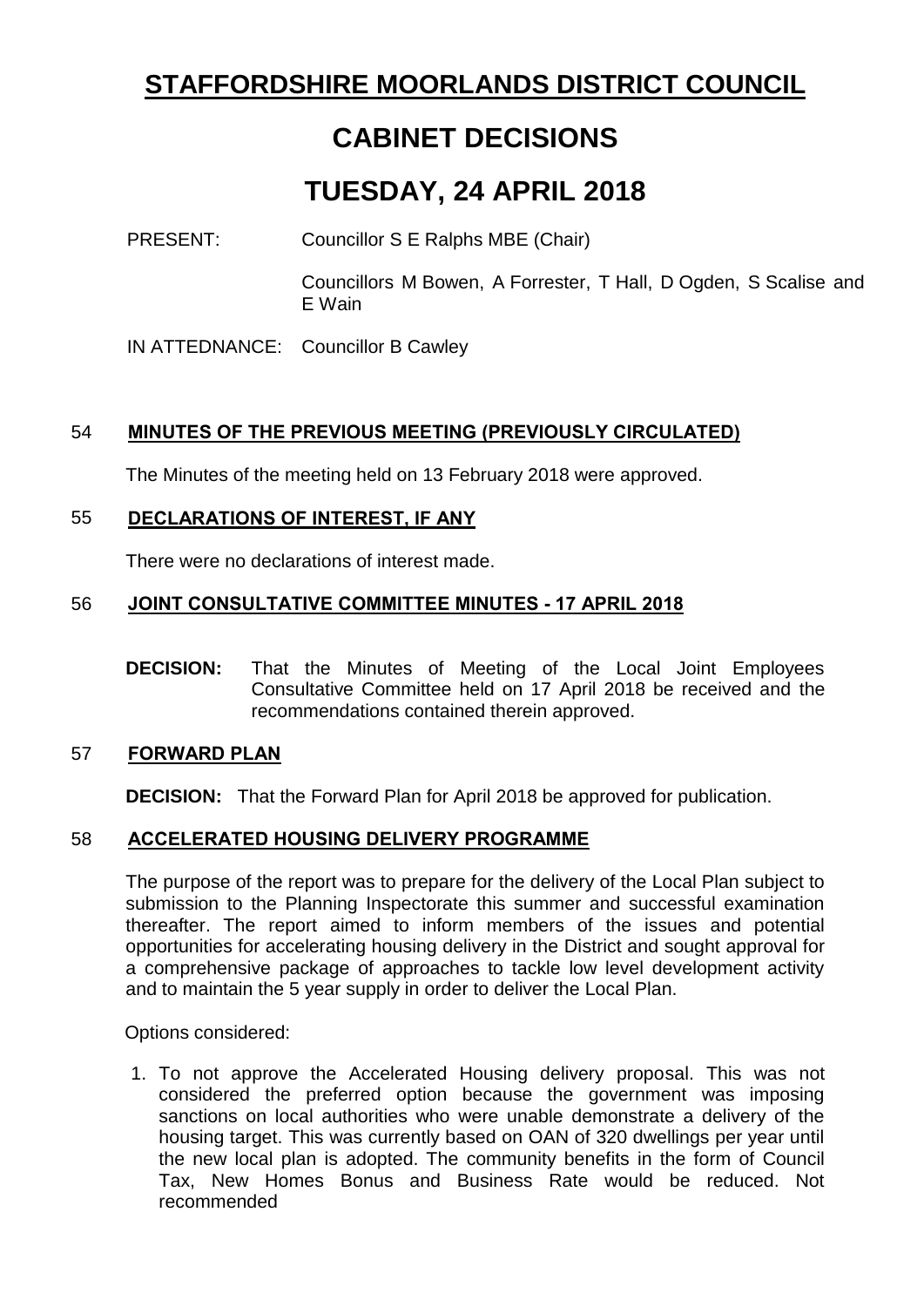## **STAFFORDSHIRE MOORLANDS DISTRICT COUNCIL**

# **CABINET DECISIONS**

## **TUESDAY, 24 APRIL 2018**

PRESENT: Councillor S E Ralphs MBE (Chair)

Councillors M Bowen, A Forrester, T Hall, D Ogden, S Scalise and E Wain

IN ATTEDNANCE: Councillor B Cawley

## 54 **MINUTES OF THE PREVIOUS MEETING (PREVIOUSLY CIRCULATED)**

The Minutes of the meeting held on 13 February 2018 were approved.

#### 55 **DECLARATIONS OF INTEREST, IF ANY**

There were no declarations of interest made.

### 56 **JOINT CONSULTATIVE COMMITTEE MINUTES - 17 APRIL 2018**

**DECISION:** That the Minutes of Meeting of the Local Joint Employees Consultative Committee held on 17 April 2018 be received and the recommendations contained therein approved.

#### 57 **FORWARD PLAN**

**DECISION:** That the Forward Plan for April 2018 be approved for publication.

#### 58 **ACCELERATED HOUSING DELIVERY PROGRAMME**

The purpose of the report was to prepare for the delivery of the Local Plan subject to submission to the Planning Inspectorate this summer and successful examination thereafter. The report aimed to inform members of the issues and potential opportunities for accelerating housing delivery in the District and sought approval for a comprehensive package of approaches to tackle low level development activity and to maintain the 5 year supply in order to deliver the Local Plan.

Options considered:

1. To not approve the Accelerated Housing delivery proposal. This was not considered the preferred option because the government was imposing sanctions on local authorities who were unable demonstrate a delivery of the housing target. This was currently based on OAN of 320 dwellings per year until the new local plan is adopted. The community benefits in the form of Council Tax, New Homes Bonus and Business Rate would be reduced. Not recommended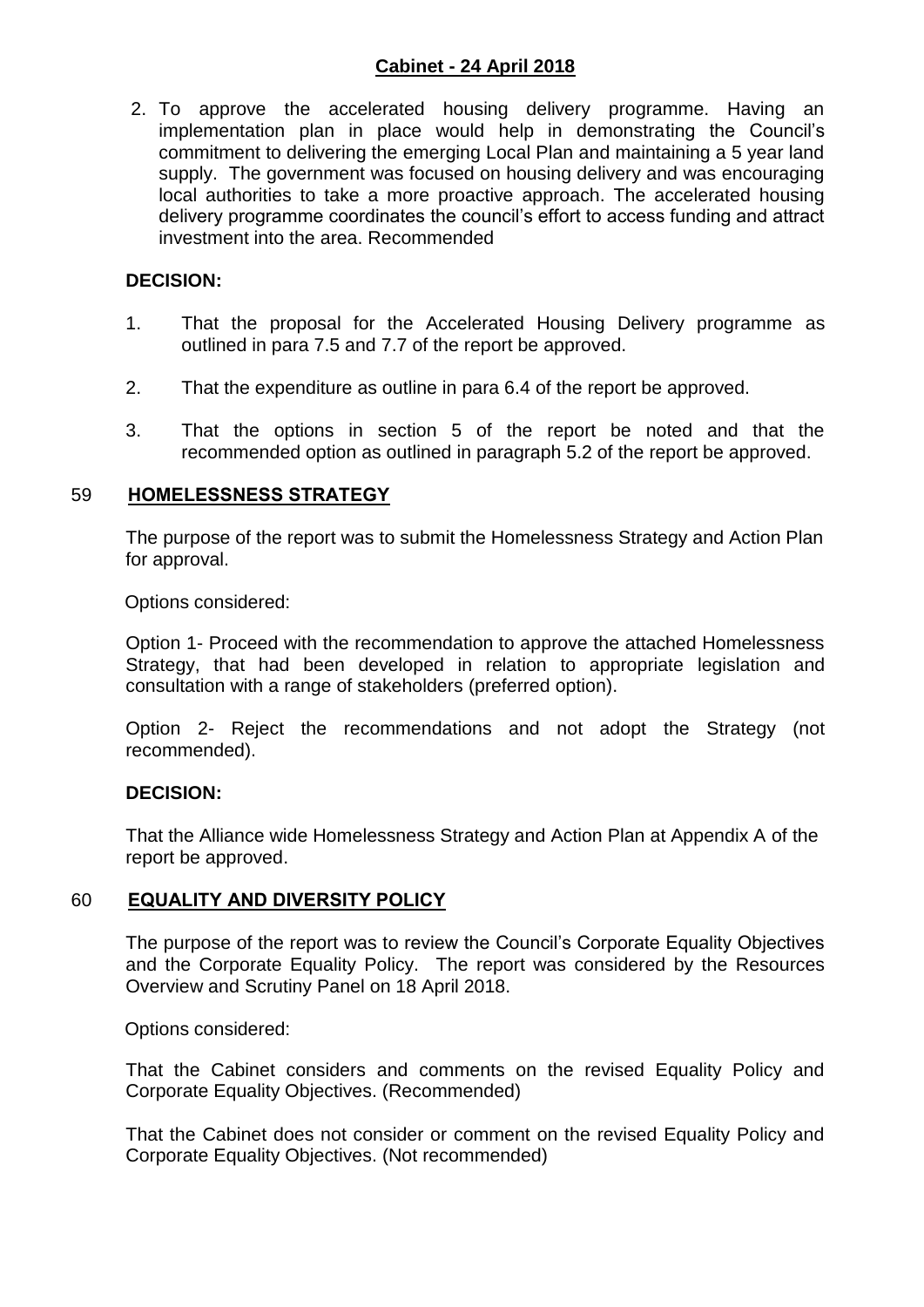### **Cabinet - 24 April 2018**

2. To approve the accelerated housing delivery programme. Having an implementation plan in place would help in demonstrating the Council's commitment to delivering the emerging Local Plan and maintaining a 5 year land supply. The government was focused on housing delivery and was encouraging local authorities to take a more proactive approach. The accelerated housing delivery programme coordinates the council's effort to access funding and attract investment into the area. Recommended

#### **DECISION:**

- 1. That the proposal for the Accelerated Housing Delivery programme as outlined in para 7.5 and 7.7 of the report be approved.
- 2. That the expenditure as outline in para 6.4 of the report be approved.
- 3. That the options in section 5 of the report be noted and that the recommended option as outlined in paragraph 5.2 of the report be approved.

## 59 **HOMELESSNESS STRATEGY**

The purpose of the report was to submit the Homelessness Strategy and Action Plan for approval.

Options considered:

Option 1- Proceed with the recommendation to approve the attached Homelessness Strategy, that had been developed in relation to appropriate legislation and consultation with a range of stakeholders (preferred option).

Option 2- Reject the recommendations and not adopt the Strategy (not recommended).

#### **DECISION:**

That the Alliance wide Homelessness Strategy and Action Plan at Appendix A of the report be approved.

#### 60 **EQUALITY AND DIVERSITY POLICY**

The purpose of the report was to review the Council's Corporate Equality Objectives and the Corporate Equality Policy. The report was considered by the Resources Overview and Scrutiny Panel on 18 April 2018.

Options considered:

That the Cabinet considers and comments on the revised Equality Policy and Corporate Equality Objectives. (Recommended)

That the Cabinet does not consider or comment on the revised Equality Policy and Corporate Equality Objectives. (Not recommended)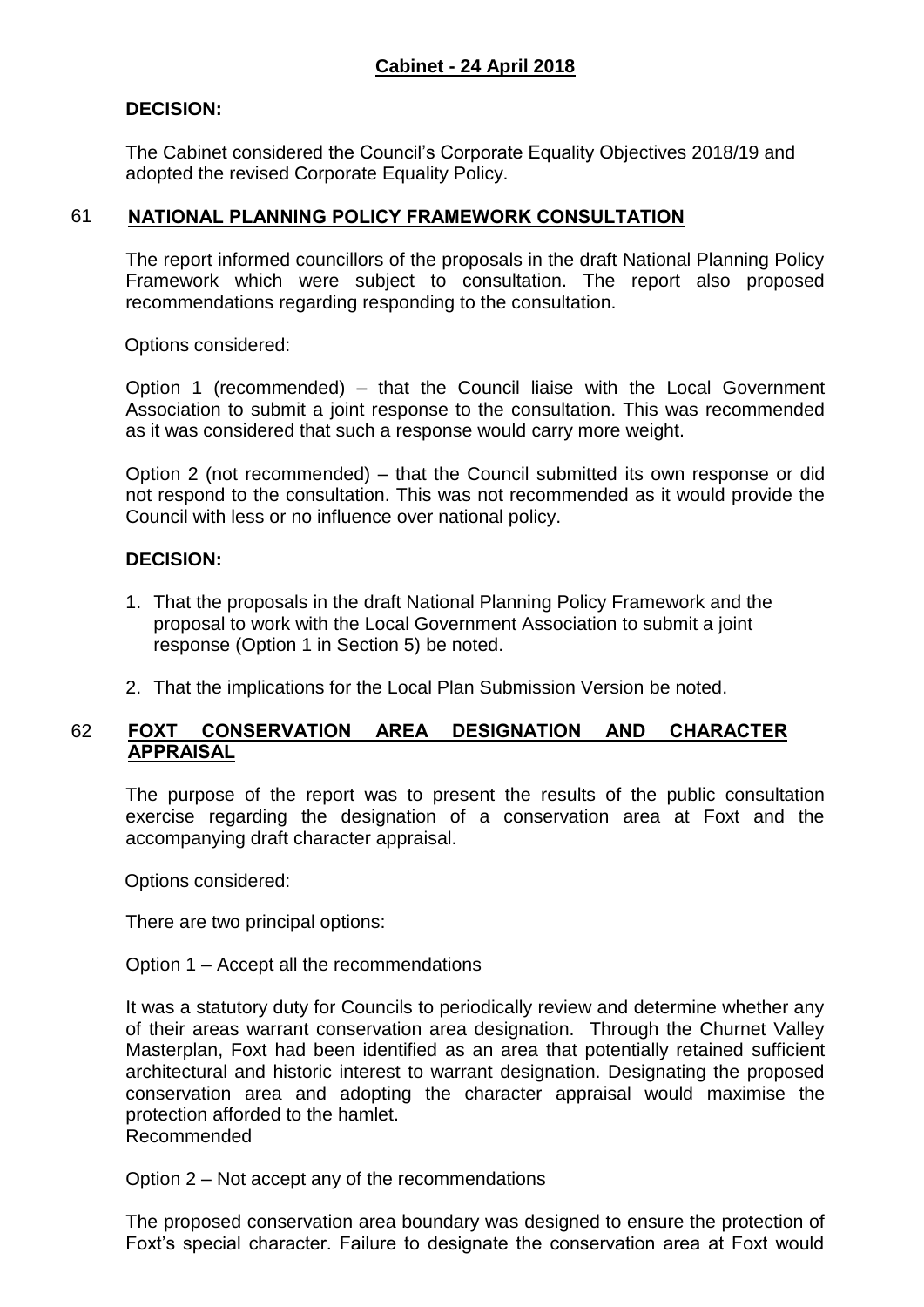#### **DECISION:**

The Cabinet considered the Council's Corporate Equality Objectives 2018/19 and adopted the revised Corporate Equality Policy.

#### 61 **NATIONAL PLANNING POLICY FRAMEWORK CONSULTATION**

The report informed councillors of the proposals in the draft National Planning Policy Framework which were subject to consultation. The report also proposed recommendations regarding responding to the consultation.

Options considered:

Option 1 (recommended) – that the Council liaise with the Local Government Association to submit a joint response to the consultation. This was recommended as it was considered that such a response would carry more weight.

Option 2 (not recommended) – that the Council submitted its own response or did not respond to the consultation. This was not recommended as it would provide the Council with less or no influence over national policy.

#### **DECISION:**

- 1. That the proposals in the draft National Planning Policy Framework and the proposal to work with the Local Government Association to submit a joint response (Option 1 in Section 5) be noted.
- 2. That the implications for the Local Plan Submission Version be noted.

#### 62 **FOXT CONSERVATION AREA DESIGNATION AND CHARACTER APPRAISAL**

The purpose of the report was to present the results of the public consultation exercise regarding the designation of a conservation area at Foxt and the accompanying draft character appraisal.

Options considered:

There are two principal options:

Option 1 – Accept all the recommendations

It was a statutory duty for Councils to periodically review and determine whether any of their areas warrant conservation area designation. Through the Churnet Valley Masterplan, Foxt had been identified as an area that potentially retained sufficient architectural and historic interest to warrant designation. Designating the proposed conservation area and adopting the character appraisal would maximise the protection afforded to the hamlet.

Recommended

Option 2 – Not accept any of the recommendations

The proposed conservation area boundary was designed to ensure the protection of Foxt's special character. Failure to designate the conservation area at Foxt would